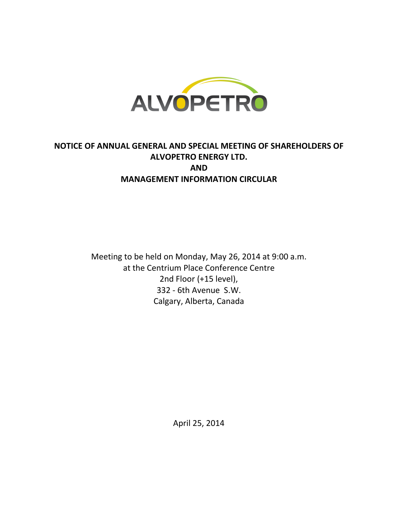

# NOTICE OF ANNUAL GENERAL AND SPECIAL MEETING OF SHAREHOLDERS OF ALVOPETRO ENERGY LTD. AND MANAGEMENT INFORMATION CIRCULAR

Meeting to be held on Monday, May 26, 2014 at 9:00 a.m. at the Centrium Place Conference Centre 2nd Floor (+15 level), 332 - 6th Avenue S.W. Calgary, Alberta, Canada

April 25, 2014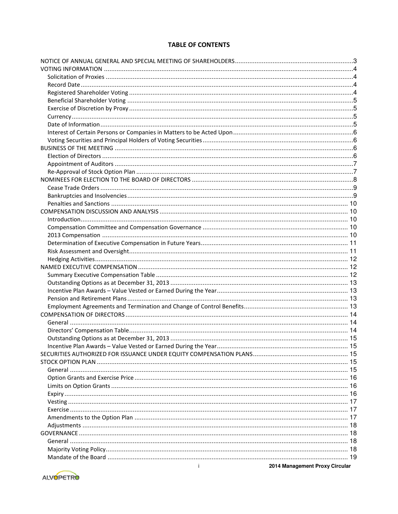# **TABLE OF CONTENTS**

| $\mathbf{i}$<br>2014 Management Proxy Circular |  |
|------------------------------------------------|--|

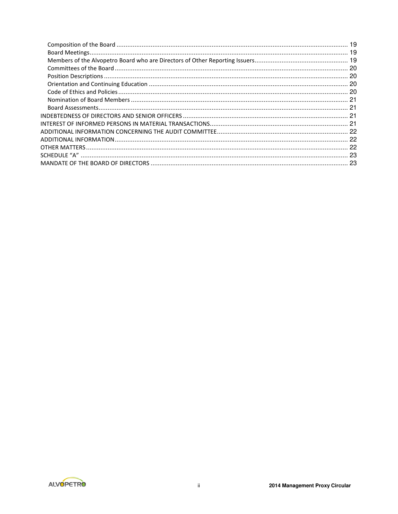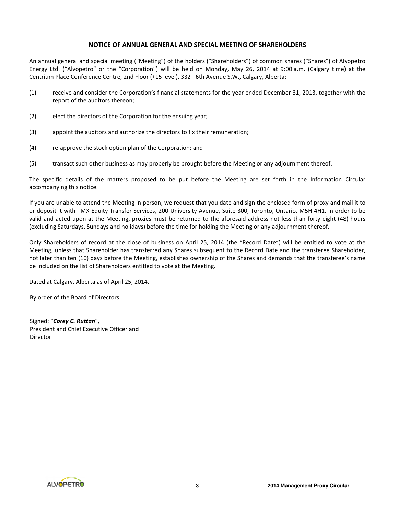# NOTICE OF ANNUAL GENERAL AND SPECIAL MEETING OF SHAREHOLDERS

An annual general and special meeting ("Meeting") of the holders ("Shareholders") of common shares ("Shares") of Alvopetro Energy Ltd. ("Alvopetro" or the "Corporation") will be held on Monday, May 26, 2014 at 9:00 a.m. (Calgary time) at the Centrium Place Conference Centre, 2nd Floor (+15 level), 332 - 6th Avenue S.W., Calgary, Alberta:

- (1) receive and consider the Corporation's financial statements for the year ended December 31, 2013, together with the report of the auditors thereon;
- (2) elect the directors of the Corporation for the ensuing year;
- (3) appoint the auditors and authorize the directors to fix their remuneration;
- (4) re-approve the stock option plan of the Corporation; and
- (5) transact such other business as may properly be brought before the Meeting or any adjournment thereof.

The specific details of the matters proposed to be put before the Meeting are set forth in the Information Circular accompanying this notice.

If you are unable to attend the Meeting in person, we request that you date and sign the enclosed form of proxy and mail it to or deposit it with TMX Equity Transfer Services, 200 University Avenue, Suite 300, Toronto, Ontario, M5H 4H1. In order to be valid and acted upon at the Meeting, proxies must be returned to the aforesaid address not less than forty-eight (48) hours (excluding Saturdays, Sundays and holidays) before the time for holding the Meeting or any adjournment thereof.

Only Shareholders of record at the close of business on April 25, 2014 (the "Record Date") will be entitled to vote at the Meeting, unless that Shareholder has transferred any Shares subsequent to the Record Date and the transferee Shareholder, not later than ten (10) days before the Meeting, establishes ownership of the Shares and demands that the transferee's name be included on the list of Shareholders entitled to vote at the Meeting.

Dated at Calgary, Alberta as of April 25, 2014.

By order of the Board of Directors

Signed: "Corey C. Ruttan", President and Chief Executive Officer and Director

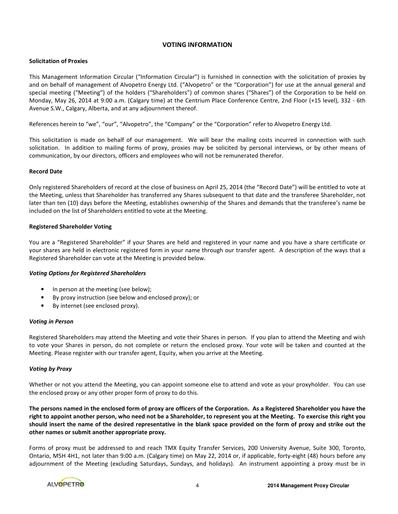# VOTING INFORMATION

# Solicitation of Proxies

This Management Information Circular ("Information Circular") is furnished in connection with the solicitation of proxies by and on behalf of management of Alvopetro Energy Ltd. ("Alvopetro" or the "Corporation") for use at the annual general and special meeting ("Meeting") of the holders ("Shareholders") of common shares ("Shares") of the Corporation to be held on Monday, May 26, 2014 at 9:00 a.m. (Calgary time) at the Centrium Place Conference Centre, 2nd Floor (+15 level), 332 - 6th Avenue S.W., Calgary, Alberta, and at any adjournment thereof.

References herein to "we", "our", "Alvopetro", the "Company" or the "Corporation" refer to Alvopetro Energy Ltd.

This solicitation is made on behalf of our management. We will bear the mailing costs incurred in connection with such solicitation. In addition to mailing forms of proxy, proxies may be solicited by personal interviews, or by other means of communication, by our directors, officers and employees who will not be remunerated therefor.

# Record Date

Only registered Shareholders of record at the close of business on April 25, 2014 (the "Record Date") will be entitled to vote at the Meeting, unless that Shareholder has transferred any Shares subsequent to that date and the transferee Shareholder, not later than ten (10) days before the Meeting, establishes ownership of the Shares and demands that the transferee's name be included on the list of Shareholders entitled to vote at the Meeting.

# Registered Shareholder Voting

You are a "Registered Shareholder" if your Shares are held and registered in your name and you have a share certificate or your shares are held in electronic registered form in your name through our transfer agent. A description of the ways that a Registered Shareholder can vote at the Meeting is provided below.

#### Voting Options for Registered Shareholders

- In person at the meeting (see below);
- By proxy instruction (see below and enclosed proxy); or
- By internet (see enclosed proxy).

#### Voting in Person

Registered Shareholders may attend the Meeting and vote their Shares in person. If you plan to attend the Meeting and wish to vote your Shares in person, do not complete or return the enclosed proxy. Your vote will be taken and counted at the Meeting. Please register with our transfer agent, Equity, when you arrive at the Meeting.

#### Voting by Proxy

Whether or not you attend the Meeting, you can appoint someone else to attend and vote as your proxyholder. You can use the enclosed proxy or any other proper form of proxy to do this.

The persons named in the enclosed form of proxy are officers of the Corporation. As a Registered Shareholder you have the right to appoint another person, who need not be a Shareholder, to represent you at the Meeting. To exercise this right you should insert the name of the desired representative in the blank space provided on the form of proxy and strike out the other names or submit another appropriate proxy.

Forms of proxy must be addressed to and reach TMX Equity Transfer Services, 200 University Avenue, Suite 300, Toronto, Ontario, M5H 4H1, not later than 9:00 a.m. (Calgary time) on May 22, 2014 or, if applicable, forty-eight (48) hours before any adjournment of the Meeting (excluding Saturdays, Sundays, and holidays). An instrument appointing a proxy must be in

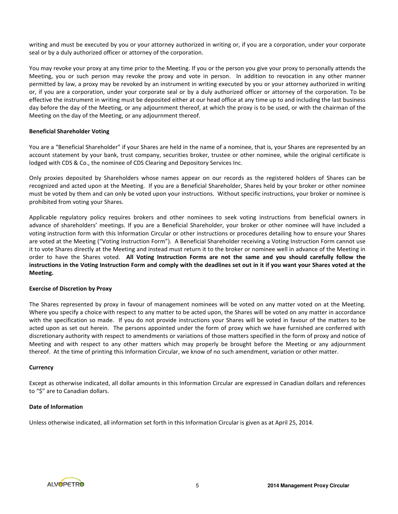writing and must be executed by you or your attorney authorized in writing or, if you are a corporation, under your corporate seal or by a duly authorized officer or attorney of the corporation.

You may revoke your proxy at any time prior to the Meeting. If you or the person you give your proxy to personally attends the Meeting, you or such person may revoke the proxy and vote in person. In addition to revocation in any other manner permitted by law, a proxy may be revoked by an instrument in writing executed by you or your attorney authorized in writing or, if you are a corporation, under your corporate seal or by a duly authorized officer or attorney of the corporation. To be effective the instrument in writing must be deposited either at our head office at any time up to and including the last business day before the day of the Meeting, or any adjournment thereof, at which the proxy is to be used, or with the chairman of the Meeting on the day of the Meeting, or any adjournment thereof.

## Beneficial Shareholder Voting

You are a "Beneficial Shareholder" if your Shares are held in the name of a nominee, that is, your Shares are represented by an account statement by your bank, trust company, securities broker, trustee or other nominee, while the original certificate is lodged with CDS & Co., the nominee of CDS Clearing and Depository Services Inc.

Only proxies deposited by Shareholders whose names appear on our records as the registered holders of Shares can be recognized and acted upon at the Meeting. If you are a Beneficial Shareholder, Shares held by your broker or other nominee must be voted by them and can only be voted upon your instructions. Without specific instructions, your broker or nominee is prohibited from voting your Shares.

Applicable regulatory policy requires brokers and other nominees to seek voting instructions from beneficial owners in advance of shareholders' meetings. If you are a Beneficial Shareholder, your broker or other nominee will have included a voting instruction form with this Information Circular or other instructions or procedures detailing how to ensure your Shares are voted at the Meeting ("Voting Instruction Form"). A Beneficial Shareholder receiving a Voting Instruction Form cannot use it to vote Shares directly at the Meeting and instead must return it to the broker or nominee well in advance of the Meeting in order to have the Shares voted. All Voting Instruction Forms are not the same and you should carefully follow the instructions in the Voting Instruction Form and comply with the deadlines set out in it if you want your Shares voted at the Meeting.

#### Exercise of Discretion by Proxy

The Shares represented by proxy in favour of management nominees will be voted on any matter voted on at the Meeting. Where you specify a choice with respect to any matter to be acted upon, the Shares will be voted on any matter in accordance with the specification so made. If you do not provide instructions your Shares will be voted in favour of the matters to be acted upon as set out herein. The persons appointed under the form of proxy which we have furnished are conferred with discretionary authority with respect to amendments or variations of those matters specified in the form of proxy and notice of Meeting and with respect to any other matters which may properly be brought before the Meeting or any adjournment thereof. At the time of printing this Information Circular, we know of no such amendment, variation or other matter.

#### **Currency**

Except as otherwise indicated, all dollar amounts in this Information Circular are expressed in Canadian dollars and references to "\$" are to Canadian dollars.

# Date of Information

Unless otherwise indicated, all information set forth in this Information Circular is given as at April 25, 2014.

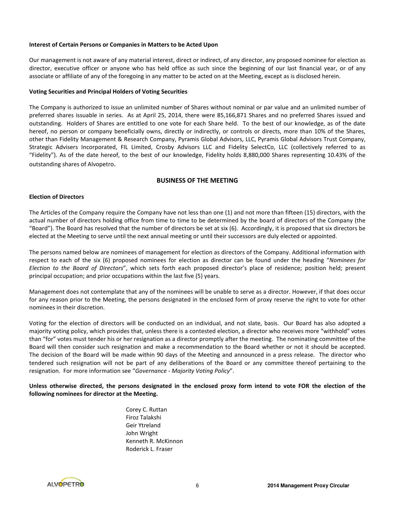# Interest of Certain Persons or Companies in Matters to be Acted Upon

Our management is not aware of any material interest, direct or indirect, of any director, any proposed nominee for election as director, executive officer or anyone who has held office as such since the beginning of our last financial year, or of any associate or affiliate of any of the foregoing in any matter to be acted on at the Meeting, except as is disclosed herein.

#### Voting Securities and Principal Holders of Voting Securities

The Company is authorized to issue an unlimited number of Shares without nominal or par value and an unlimited number of preferred shares issuable in series. As at April 25, 2014, there were 85,166,871 Shares and no preferred Shares issued and outstanding. Holders of Shares are entitled to one vote for each Share held. To the best of our knowledge, as of the date hereof, no person or company beneficially owns, directly or indirectly, or controls or directs, more than 10% of the Shares, other than Fidelity Management & Research Company, Pyramis Global Advisors, LLC, Pyramis Global Advisors Trust Company, Strategic Advisers Incorporated, FIL Limited, Crosby Advisors LLC and Fidelity SelectCo, LLC (collectively referred to as "Fidelity"). As of the date hereof, to the best of our knowledge, Fidelity holds 8,880,000 Shares representing 10.43% of the outstanding shares of Alvopetro.

# BUSINESS OF THE MEETING

# Election of Directors

The Articles of the Company require the Company have not less than one (1) and not more than fifteen (15) directors, with the actual number of directors holding office from time to time to be determined by the board of directors of the Company (the "Board"). The Board has resolved that the number of directors be set at six (6). Accordingly, it is proposed that six directors be elected at the Meeting to serve until the next annual meeting or until their successors are duly elected or appointed.

The persons named below are nominees of management for election as directors of the Company. Additional information with respect to each of the six (6) proposed nominees for election as director can be found under the heading "Nominees for Election to the Board of Directors", which sets forth each proposed director's place of residence; position held; present principal occupation; and prior occupations within the last five (5) years.

Management does not contemplate that any of the nominees will be unable to serve as a director. However, if that does occur for any reason prior to the Meeting, the persons designated in the enclosed form of proxy reserve the right to vote for other nominees in their discretion.

Voting for the election of directors will be conducted on an individual, and not slate, basis. Our Board has also adopted a majority voting policy, which provides that, unless there is a contested election, a director who receives more "withhold" votes than "for" votes must tender his or her resignation as a director promptly after the meeting. The nominating committee of the Board will then consider such resignation and make a recommendation to the Board whether or not it should be accepted. The decision of the Board will be made within 90 days of the Meeting and announced in a press release. The director who tendered such resignation will not be part of any deliberations of the Board or any committee thereof pertaining to the resignation. For more information see "Governance - Majority Voting Policy".

# Unless otherwise directed, the persons designated in the enclosed proxy form intend to vote FOR the election of the following nominees for director at the Meeting.

Corey C. Ruttan Firoz Talakshi Geir Ytreland John Wright Kenneth R. McKinnon Roderick L. Fraser

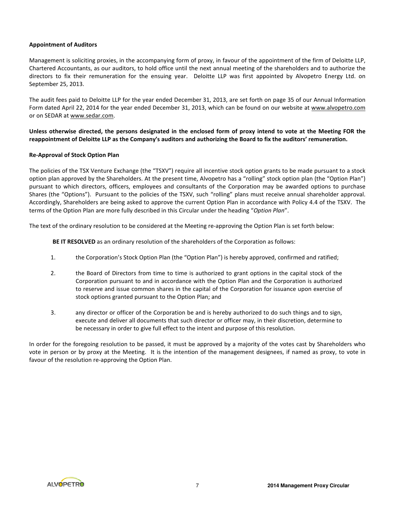# Appointment of Auditors

Management is soliciting proxies, in the accompanying form of proxy, in favour of the appointment of the firm of Deloitte LLP, Chartered Accountants, as our auditors, to hold office until the next annual meeting of the shareholders and to authorize the directors to fix their remuneration for the ensuing year. Deloitte LLP was first appointed by Alvopetro Energy Ltd. on September 25, 2013.

The audit fees paid to Deloitte LLP for the year ended December 31, 2013, are set forth on page 35 of our Annual Information Form dated April 22, 2014 for the year ended December 31, 2013, which can be found on our website at www.alvopetro.com or on SEDAR at www.sedar.com.

Unless otherwise directed, the persons designated in the enclosed form of proxy intend to vote at the Meeting FOR the reappointment of Deloitte LLP as the Company's auditors and authorizing the Board to fix the auditors' remuneration.

# Re-Approval of Stock Option Plan

The policies of the TSX Venture Exchange (the "TSXV") require all incentive stock option grants to be made pursuant to a stock option plan approved by the Shareholders. At the present time, Alvopetro has a "rolling" stock option plan (the "Option Plan") pursuant to which directors, officers, employees and consultants of the Corporation may be awarded options to purchase Shares (the "Options"). Pursuant to the policies of the TSXV, such "rolling" plans must receive annual shareholder approval. Accordingly, Shareholders are being asked to approve the current Option Plan in accordance with Policy 4.4 of the TSXV. The terms of the Option Plan are more fully described in this Circular under the heading "Option Plan".

The text of the ordinary resolution to be considered at the Meeting re-approving the Option Plan is set forth below:

BE IT RESOLVED as an ordinary resolution of the shareholders of the Corporation as follows:

- 1. the Corporation's Stock Option Plan (the "Option Plan") is hereby approved, confirmed and ratified;
- 2. the Board of Directors from time to time is authorized to grant options in the capital stock of the Corporation pursuant to and in accordance with the Option Plan and the Corporation is authorized to reserve and issue common shares in the capital of the Corporation for issuance upon exercise of stock options granted pursuant to the Option Plan; and
- 3. any director or officer of the Corporation be and is hereby authorized to do such things and to sign, execute and deliver all documents that such director or officer may, in their discretion, determine to be necessary in order to give full effect to the intent and purpose of this resolution.

In order for the foregoing resolution to be passed, it must be approved by a majority of the votes cast by Shareholders who vote in person or by proxy at the Meeting. It is the intention of the management designees, if named as proxy, to vote in favour of the resolution re-approving the Option Plan.

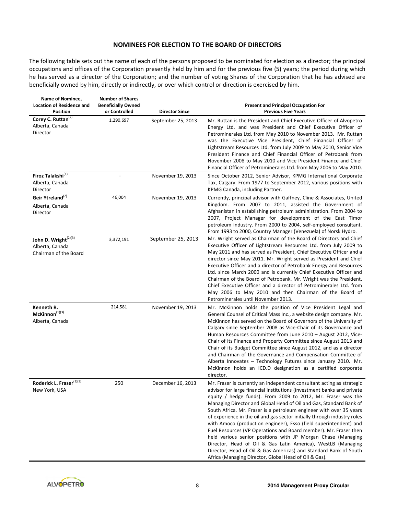# NOMINEES FOR ELECTION TO THE BOARD OF DIRECTORS

The following table sets out the name of each of the persons proposed to be nominated for election as a director; the principal occupations and offices of the Corporation presently held by him and for the previous five (5) years; the period during which he has served as a director of the Corporation; and the number of voting Shares of the Corporation that he has advised are beneficially owned by him, directly or indirectly, or over which control or direction is exercised by him.

| Name of Nominee,<br><b>Location of Residence and</b><br><b>Position</b> | <b>Number of Shares</b><br><b>Beneficially Owned</b><br>or Controlled | <b>Director Since</b> | <b>Present and Principal Occupation For</b><br><b>Previous Five Years</b>                                                                                                                                                                                                                                                                                                                                                                                                                                                                                                                                                                                                                                                                                                                                                                      |
|-------------------------------------------------------------------------|-----------------------------------------------------------------------|-----------------------|------------------------------------------------------------------------------------------------------------------------------------------------------------------------------------------------------------------------------------------------------------------------------------------------------------------------------------------------------------------------------------------------------------------------------------------------------------------------------------------------------------------------------------------------------------------------------------------------------------------------------------------------------------------------------------------------------------------------------------------------------------------------------------------------------------------------------------------------|
| Corey C. Ruttan <sup>(2)</sup><br>Alberta, Canada<br>Director           | 1,290,697                                                             | September 25, 2013    | Mr. Ruttan is the President and Chief Executive Officer of Alvopetro<br>Energy Ltd. and was President and Chief Executive Officer of<br>Petrominerales Ltd. from May 2010 to November 2013. Mr. Ruttan<br>was the Executive Vice President, Chief Financial Officer of<br>Lightstream Resources Ltd. from July 2009 to May 2010, Senior Vice<br>President Finance and Chief Financial Officer of Petrobank from<br>November 2008 to May 2010 and Vice President Finance and Chief<br>Financial Officer of Petrominerales Ltd. from May 2006 to May 2010.                                                                                                                                                                                                                                                                                       |
| Firoz Talakshi $^{(1)}$<br>Alberta, Canada<br>Director                  |                                                                       | November 19, 2013     | Since October 2012, Senior Advisor, KPMG International Corporate<br>Tax, Calgary. From 1977 to September 2012, various positions with<br>KPMG Canada, including Partner.                                                                                                                                                                                                                                                                                                                                                                                                                                                                                                                                                                                                                                                                       |
| Geir Ytreland <sup>(2)</sup><br>Alberta, Canada<br>Director             | 46,004                                                                | November 19, 2013     | Currently, principal advisor with Gaffney, Cline & Associates, United<br>Kingdom. From 2007 to 2011, assisted the Government of<br>Afghanistan in establishing petroleum administration. From 2004 to<br>2007, Project Manager for development of the East Timor<br>petroleum industry. From 2000 to 2004, self-employed consultant.<br>From 1993 to 2000, Country Manager (Venezuela) of Norsk Hydro.                                                                                                                                                                                                                                                                                                                                                                                                                                         |
| John D. Wright $^{(2)(3)}$<br>Alberta, Canada<br>Chairman of the Board  | 3,372,191                                                             | September 25, 2013    | Mr. Wright served as Chairman of the Board of Directors and Chief<br>Executive Officer of Lightstream Resources Ltd. from July 2009 to<br>May 2011 and has served as President, Chief Executive Officer and a<br>director since May 2011. Mr. Wright served as President and Chief<br>Executive Officer and a director of Petrobank Energy and Resources<br>Ltd. since March 2000 and is currently Chief Executive Officer and<br>Chairman of the Board of Petrobank. Mr. Wright was the President,<br>Chief Executive Officer and a director of Petrominerales Ltd. from<br>May 2006 to May 2010 and then Chairman of the Board of<br>Petrominerales until November 2013.                                                                                                                                                                     |
| Kenneth R.<br>McKinnon <sup>(1)(3)</sup><br>Alberta, Canada             | 214,581                                                               | November 19, 2013     | Mr. McKinnon holds the position of Vice President Legal and<br>General Counsel of Critical Mass Inc., a website design company. Mr.<br>McKinnon has served on the Board of Governors of the University of<br>Calgary since September 2008 as Vice-Chair of its Governance and<br>Human Resources Committee from June 2010 - August 2012, Vice-<br>Chair of its Finance and Property Committee since August 2013 and<br>Chair of its Budget Committee since August 2012, and as a director<br>and Chairman of the Governance and Compensation Committee of<br>Alberta Innovates - Technology Futures since January 2010. Mr.<br>McKinnon holds an ICD.D designation as a certified corporate<br>director.                                                                                                                                       |
| Roderick L. Fraser $^{(1)(3)}$<br>New York, USA                         | 250                                                                   | December 16, 2013     | Mr. Fraser is currently an independent consultant acting as strategic<br>advisor for large financial institutions (investment banks and private<br>equity / hedge funds). From 2009 to 2012, Mr. Fraser was the<br>Managing Director and Global Head of Oil and Gas, Standard Bank of<br>South Africa. Mr. Fraser is a petroleum engineer with over 35 years<br>of experience in the oil and gas sector initially through industry roles<br>with Amoco (production engineer), Esso (field superintendent) and<br>Fuel Resources (VP Operations and Board member). Mr. Fraser then<br>held various senior positions with JP Morgan Chase (Managing<br>Director, Head of Oil & Gas Latin America), WestLB (Managing<br>Director, Head of Oil & Gas Americas) and Standard Bank of South<br>Africa (Managing Director, Global Head of Oil & Gas). |

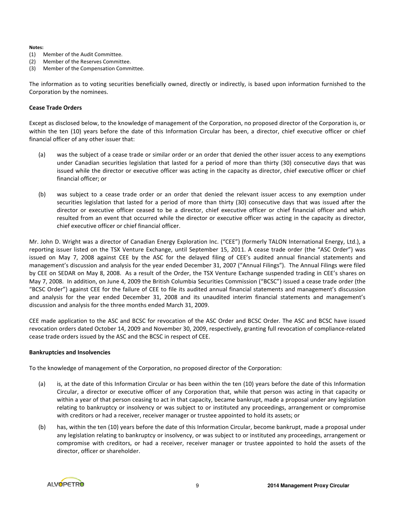#### Notes:

- (1) Member of the Audit Committee.
- (2) Member of the Reserves Committee.
- (3) Member of the Compensation Committee.

The information as to voting securities beneficially owned, directly or indirectly, is based upon information furnished to the Corporation by the nominees.

# Cease Trade Orders

Except as disclosed below, to the knowledge of management of the Corporation, no proposed director of the Corporation is, or within the ten (10) years before the date of this Information Circular has been, a director, chief executive officer or chief financial officer of any other issuer that:

- (a) was the subject of a cease trade or similar order or an order that denied the other issuer access to any exemptions under Canadian securities legislation that lasted for a period of more than thirty (30) consecutive days that was issued while the director or executive officer was acting in the capacity as director, chief executive officer or chief financial officer; or
- (b) was subject to a cease trade order or an order that denied the relevant issuer access to any exemption under securities legislation that lasted for a period of more than thirty (30) consecutive days that was issued after the director or executive officer ceased to be a director, chief executive officer or chief financial officer and which resulted from an event that occurred while the director or executive officer was acting in the capacity as director, chief executive officer or chief financial officer.

Mr. John D. Wright was a director of Canadian Energy Exploration Inc. ("CEE") (formerly TALON International Energy, Ltd.), a reporting issuer listed on the TSX Venture Exchange, until September 15, 2011. A cease trade order (the "ASC Order") was issued on May 7, 2008 against CEE by the ASC for the delayed filing of CEE's audited annual financial statements and management's discussion and analysis for the year ended December 31, 2007 ("Annual Filings"). The Annual Filings were filed by CEE on SEDAR on May 8, 2008. As a result of the Order, the TSX Venture Exchange suspended trading in CEE's shares on May 7, 2008. In addition, on June 4, 2009 the British Columbia Securities Commission ("BCSC") issued a cease trade order (the "BCSC Order") against CEE for the failure of CEE to file its audited annual financial statements and management's discussion and analysis for the year ended December 31, 2008 and its unaudited interim financial statements and management's discussion and analysis for the three months ended March 31, 2009.

CEE made application to the ASC and BCSC for revocation of the ASC Order and BCSC Order. The ASC and BCSC have issued revocation orders dated October 14, 2009 and November 30, 2009, respectively, granting full revocation of compliance-related cease trade orders issued by the ASC and the BCSC in respect of CEE.

#### Bankruptcies and Insolvencies

To the knowledge of management of the Corporation, no proposed director of the Corporation:

- (a) is, at the date of this Information Circular or has been within the ten (10) years before the date of this Information Circular, a director or executive officer of any Corporation that, while that person was acting in that capacity or within a year of that person ceasing to act in that capacity, became bankrupt, made a proposal under any legislation relating to bankruptcy or insolvency or was subject to or instituted any proceedings, arrangement or compromise with creditors or had a receiver, receiver manager or trustee appointed to hold its assets; or
- (b) has, within the ten (10) years before the date of this Information Circular, become bankrupt, made a proposal under any legislation relating to bankruptcy or insolvency, or was subject to or instituted any proceedings, arrangement or compromise with creditors, or had a receiver, receiver manager or trustee appointed to hold the assets of the director, officer or shareholder.

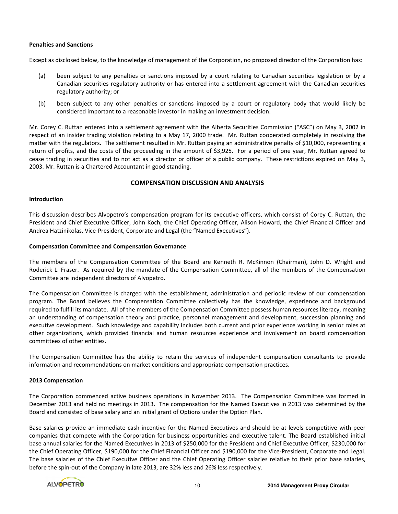# Penalties and Sanctions

Except as disclosed below, to the knowledge of management of the Corporation, no proposed director of the Corporation has:

- (a) been subject to any penalties or sanctions imposed by a court relating to Canadian securities legislation or by a Canadian securities regulatory authority or has entered into a settlement agreement with the Canadian securities regulatory authority; or
- (b) been subject to any other penalties or sanctions imposed by a court or regulatory body that would likely be considered important to a reasonable investor in making an investment decision.

Mr. Corey C. Ruttan entered into a settlement agreement with the Alberta Securities Commission ("ASC") on May 3, 2002 in respect of an insider trading violation relating to a May 17, 2000 trade. Mr. Ruttan cooperated completely in resolving the matter with the regulators. The settlement resulted in Mr. Ruttan paying an administrative penalty of \$10,000, representing a return of profits, and the costs of the proceeding in the amount of \$3,925. For a period of one year, Mr. Ruttan agreed to cease trading in securities and to not act as a director or officer of a public company. These restrictions expired on May 3, 2003. Mr. Ruttan is a Chartered Accountant in good standing.

# COMPENSATION DISCUSSION AND ANALYSIS

# Introduction

This discussion describes Alvopetro's compensation program for its executive officers, which consist of Corey C. Ruttan, the President and Chief Executive Officer, John Koch, the Chief Operating Officer, Alison Howard, the Chief Financial Officer and Andrea Hatzinikolas, Vice-President, Corporate and Legal (the "Named Executives").

# Compensation Committee and Compensation Governance

The members of the Compensation Committee of the Board are Kenneth R. McKinnon (Chairman), John D. Wright and Roderick L. Fraser. As required by the mandate of the Compensation Committee, all of the members of the Compensation Committee are independent directors of Alvopetro.

The Compensation Committee is charged with the establishment, administration and periodic review of our compensation program. The Board believes the Compensation Committee collectively has the knowledge, experience and background required to fulfill its mandate. All of the members of the Compensation Committee possess human resources literacy, meaning an understanding of compensation theory and practice, personnel management and development, succession planning and executive development. Such knowledge and capability includes both current and prior experience working in senior roles at other organizations, which provided financial and human resources experience and involvement on board compensation committees of other entities.

The Compensation Committee has the ability to retain the services of independent compensation consultants to provide information and recommendations on market conditions and appropriate compensation practices.

# 2013 Compensation

The Corporation commenced active business operations in November 2013. The Compensation Committee was formed in December 2013 and held no meetings in 2013. The compensation for the Named Executives in 2013 was determined by the Board and consisted of base salary and an initial grant of Options under the Option Plan.

Base salaries provide an immediate cash incentive for the Named Executives and should be at levels competitive with peer companies that compete with the Corporation for business opportunities and executive talent. The Board established initial base annual salaries for the Named Executives in 2013 of \$250,000 for the President and Chief Executive Officer; \$230,000 for the Chief Operating Officer, \$190,000 for the Chief Financial Officer and \$190,000 for the Vice-President, Corporate and Legal. The base salaries of the Chief Executive Officer and the Chief Operating Officer salaries relative to their prior base salaries, before the spin-out of the Company in late 2013, are 32% less and 26% less respectively.

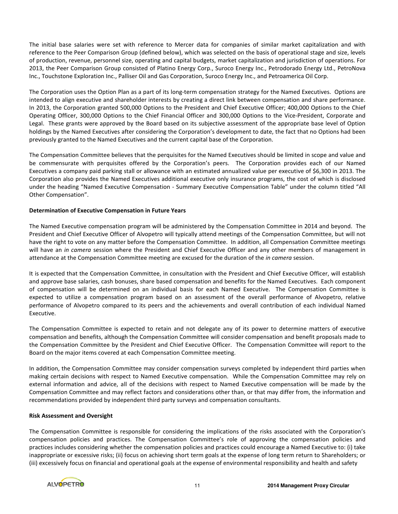The initial base salaries were set with reference to Mercer data for companies of similar market capitalization and with reference to the Peer Comparison Group (defined below), which was selected on the basis of operational stage and size, levels of production, revenue, personnel size, operating and capital budgets, market capitalization and jurisdiction of operations. For 2013, the Peer Comparison Group consisted of Platino Energy Corp., Suroco Energy Inc., Petrodorado Energy Ltd., PetroNova Inc., Touchstone Exploration Inc., Palliser Oil and Gas Corporation, Suroco Energy Inc., and Petroamerica Oil Corp.

The Corporation uses the Option Plan as a part of its long-term compensation strategy for the Named Executives. Options are intended to align executive and shareholder interests by creating a direct link between compensation and share performance. In 2013, the Corporation granted 500,000 Options to the President and Chief Executive Officer; 400,000 Options to the Chief Operating Officer, 300,000 Options to the Chief Financial Officer and 300,000 Options to the Vice-President, Corporate and Legal. These grants were approved by the Board based on its subjective assessment of the appropriate base level of Option holdings by the Named Executives after considering the Corporation's development to date, the fact that no Options had been previously granted to the Named Executives and the current capital base of the Corporation.

The Compensation Committee believes that the perquisites for the Named Executives should be limited in scope and value and be commensurate with perquisites offered by the Corporation's peers. The Corporation provides each of our Named Executives a company paid parking stall or allowance with an estimated annualized value per executive of \$6,300 in 2013. The Corporation also provides the Named Executives additional executive only insurance programs, the cost of which is disclosed under the heading "Named Executive Compensation - Summary Executive Compensation Table" under the column titled "All Other Compensation".

# Determination of Executive Compensation in Future Years

The Named Executive compensation program will be administered by the Compensation Committee in 2014 and beyond. The President and Chief Executive Officer of Alvopetro will typically attend meetings of the Compensation Committee, but will not have the right to vote on any matter before the Compensation Committee. In addition, all Compensation Committee meetings will have an in camera session where the President and Chief Executive Officer and any other members of management in attendance at the Compensation Committee meeting are excused for the duration of the *in camera* session.

It is expected that the Compensation Committee, in consultation with the President and Chief Executive Officer, will establish and approve base salaries, cash bonuses, share based compensation and benefits for the Named Executives. Each component of compensation will be determined on an individual basis for each Named Executive. The Compensation Committee is expected to utilize a compensation program based on an assessment of the overall performance of Alvopetro, relative performance of Alvopetro compared to its peers and the achievements and overall contribution of each individual Named Executive.

The Compensation Committee is expected to retain and not delegate any of its power to determine matters of executive compensation and benefits, although the Compensation Committee will consider compensation and benefit proposals made to the Compensation Committee by the President and Chief Executive Officer. The Compensation Committee will report to the Board on the major items covered at each Compensation Committee meeting.

In addition, the Compensation Committee may consider compensation surveys completed by independent third parties when making certain decisions with respect to Named Executive compensation. While the Compensation Committee may rely on external information and advice, all of the decisions with respect to Named Executive compensation will be made by the Compensation Committee and may reflect factors and considerations other than, or that may differ from, the information and recommendations provided by independent third party surveys and compensation consultants.

# Risk Assessment and Oversight

The Compensation Committee is responsible for considering the implications of the risks associated with the Corporation's compensation policies and practices. The Compensation Committee's role of approving the compensation policies and practices includes considering whether the compensation policies and practices could encourage a Named Executive to: (i) take inappropriate or excessive risks; (ii) focus on achieving short term goals at the expense of long term return to Shareholders; or (iii) excessively focus on financial and operational goals at the expense of environmental responsibility and health and safety

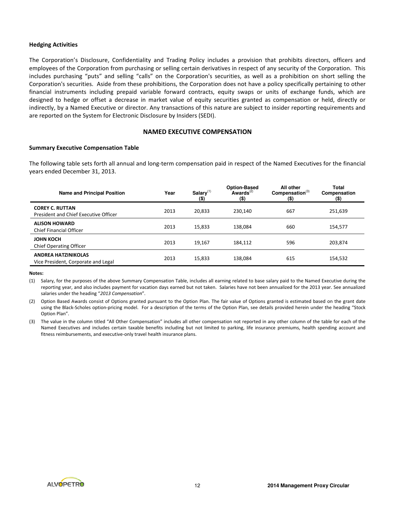#### Hedging Activities

The Corporation's Disclosure, Confidentiality and Trading Policy includes a provision that prohibits directors, officers and employees of the Corporation from purchasing or selling certain derivatives in respect of any security of the Corporation. This includes purchasing "puts" and selling "calls" on the Corporation's securities, as well as a prohibition on short selling the Corporation's securities. Aside from these prohibitions, the Corporation does not have a policy specifically pertaining to other financial instruments including prepaid variable forward contracts, equity swaps or units of exchange funds, which are designed to hedge or offset a decrease in market value of equity securities granted as compensation or held, directly or indirectly, by a Named Executive or director. Any transactions of this nature are subject to insider reporting requirements and are reported on the System for Electronic Disclosure by Insiders (SEDI).

# NAMED EXECUTIVE COMPENSATION

#### Summary Executive Compensation Table

The following table sets forth all annual and long-term compensation paid in respect of the Named Executives for the financial years ended December 31, 2013.

| <b>Name and Principal Position</b>                                | Year | $Salarv^{(1)}$<br>$($ \$) | <b>Option-Based</b><br>Awards $^{(2)}$<br>$($ \$) | All other<br>Compensation <sup>(3)</sup><br>$($ \$) | Total<br>Compensation<br>(\$) |
|-------------------------------------------------------------------|------|---------------------------|---------------------------------------------------|-----------------------------------------------------|-------------------------------|
| <b>COREY C. RUTTAN</b><br>President and Chief Executive Officer   | 2013 | 20,833                    | 230.140                                           | 667                                                 | 251,639                       |
| <b>ALISON HOWARD</b><br><b>Chief Financial Officer</b>            | 2013 | 15.833                    | 138.084                                           | 660                                                 | 154,577                       |
| <b>JOHN KOCH</b><br><b>Chief Operating Officer</b>                | 2013 | 19.167                    | 184.112                                           | 596                                                 | 203,874                       |
| <b>ANDREA HATZINIKOLAS</b><br>Vice President, Corporate and Legal | 2013 | 15,833                    | 138.084                                           | 615                                                 | 154,532                       |

Notes:

(1) Salary, for the purposes of the above Summary Compensation Table, includes all earning related to base salary paid to the Named Executive during the reporting year, and also includes payment for vacation days earned but not taken. Salaries have not been annualized for the 2013 year. See annualized salaries under the heading "2013 Compensation".

(2) Option Based Awards consist of Options granted pursuant to the Option Plan. The fair value of Options granted is estimated based on the grant date using the Black-Scholes option-pricing model. For a description of the terms of the Option Plan, see details provided herein under the heading "Stock Option Plan".

(3) The value in the column titled "All Other Compensation" includes all other compensation not reported in any other column of the table for each of the Named Executives and includes certain taxable benefits including but not limited to parking, life insurance premiums, health spending account and fitness reimbursements, and executive-only travel health insurance plans.

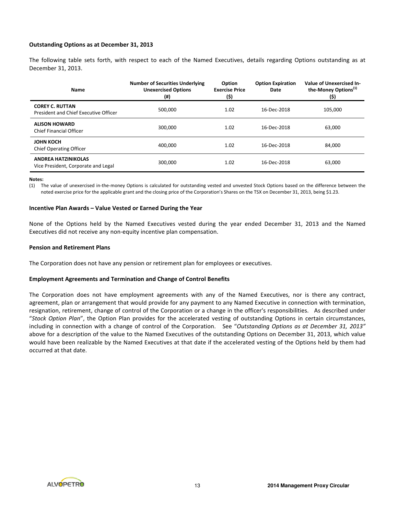# Outstanding Options as at December 31, 2013

The following table sets forth, with respect to each of the Named Executives, details regarding Options outstanding as at December 31, 2013.

| Name                                                              | <b>Number of Securities Underlying</b><br><b>Unexercised Options</b><br>(#) | Option<br><b>Exercise Price</b><br>(\$) | <b>Option Expiration</b><br>Date | <b>Value of Unexercised In-</b><br>the-Money Options <sup>(1)</sup><br>(\$) |
|-------------------------------------------------------------------|-----------------------------------------------------------------------------|-----------------------------------------|----------------------------------|-----------------------------------------------------------------------------|
| <b>COREY C. RUTTAN</b><br>President and Chief Executive Officer   | 500.000                                                                     | 1.02                                    | 16-Dec-2018                      | 105,000                                                                     |
| <b>ALISON HOWARD</b><br>Chief Financial Officer                   | 300.000                                                                     | 1.02                                    | 16-Dec-2018                      | 63,000                                                                      |
| <b>JOHN KOCH</b><br><b>Chief Operating Officer</b>                | 400.000                                                                     | 1.02                                    | 16-Dec-2018                      | 84,000                                                                      |
| <b>ANDREA HATZINIKOLAS</b><br>Vice President, Corporate and Legal | 300,000                                                                     | 1.02                                    | 16-Dec-2018                      | 63,000                                                                      |

#### Notes:

(1) The value of unexercised in-the-money Options is calculated for outstanding vested and unvested Stock Options based on the difference between the noted exercise price for the applicable grant and the closing price of the Corporation's Shares on the TSX on December 31, 2013, being \$1.23.

#### Incentive Plan Awards – Value Vested or Earned During the Year

None of the Options held by the Named Executives vested during the year ended December 31, 2013 and the Named Executives did not receive any non-equity incentive plan compensation.

#### Pension and Retirement Plans

The Corporation does not have any pension or retirement plan for employees or executives.

#### Employment Agreements and Termination and Change of Control Benefits

The Corporation does not have employment agreements with any of the Named Executives, nor is there any contract, agreement, plan or arrangement that would provide for any payment to any Named Executive in connection with termination, resignation, retirement, change of control of the Corporation or a change in the officer's responsibilities. As described under "Stock Option Plan", the Option Plan provides for the accelerated vesting of outstanding Options in certain circumstances, including in connection with a change of control of the Corporation. See "Outstanding Options as at December 31, 2013" above for a description of the value to the Named Executives of the outstanding Options on December 31, 2013, which value would have been realizable by the Named Executives at that date if the accelerated vesting of the Options held by them had occurred at that date.

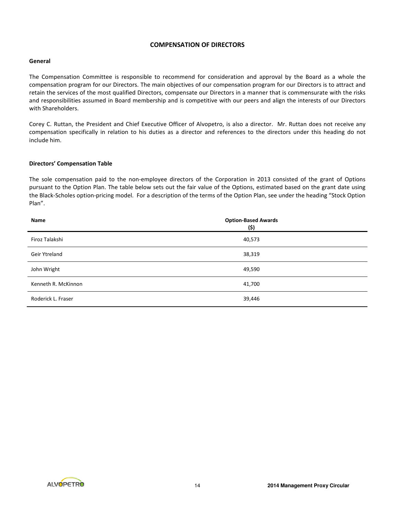# COMPENSATION OF DIRECTORS

# General

The Compensation Committee is responsible to recommend for consideration and approval by the Board as a whole the compensation program for our Directors. The main objectives of our compensation program for our Directors is to attract and retain the services of the most qualified Directors, compensate our Directors in a manner that is commensurate with the risks and responsibilities assumed in Board membership and is competitive with our peers and align the interests of our Directors with Shareholders.

Corey C. Ruttan, the President and Chief Executive Officer of Alvopetro, is also a director. Mr. Ruttan does not receive any compensation specifically in relation to his duties as a director and references to the directors under this heading do not include him.

# Directors' Compensation Table

The sole compensation paid to the non-employee directors of the Corporation in 2013 consisted of the grant of Options pursuant to the Option Plan. The table below sets out the fair value of the Options, estimated based on the grant date using the Black-Scholes option-pricing model. For a description of the terms of the Option Plan, see under the heading "Stock Option Plan".

| Name                | <b>Option-Based Awards</b><br>(\$) |
|---------------------|------------------------------------|
| Firoz Talakshi      | 40,573                             |
| Geir Ytreland       | 38,319                             |
| John Wright         | 49,590                             |
| Kenneth R. McKinnon | 41,700                             |
| Roderick L. Fraser  | 39,446                             |

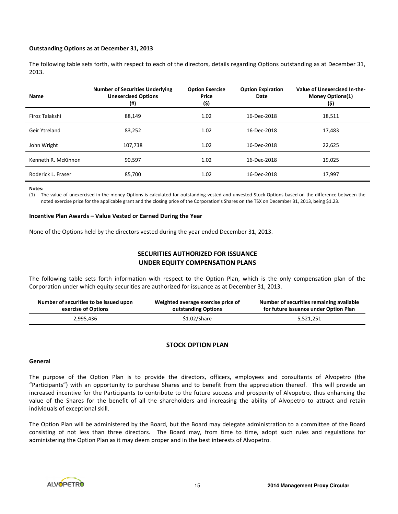#### Outstanding Options as at December 31, 2013

The following table sets forth, with respect to each of the directors, details regarding Options outstanding as at December 31, 2013.

| <b>Name</b>         | <b>Number of Securities Underlying</b><br><b>Unexercised Options</b><br>$(\#)$ | <b>Option Exercise</b><br>Price<br>(\$) | <b>Option Expiration</b><br>Date | Value of Unexercised In-the-<br><b>Money Options(1)</b><br>(\$) |
|---------------------|--------------------------------------------------------------------------------|-----------------------------------------|----------------------------------|-----------------------------------------------------------------|
| Firoz Talakshi      | 88.149                                                                         | 1.02                                    | 16-Dec-2018                      | 18,511                                                          |
| Geir Ytreland       | 83,252                                                                         | 1.02                                    | 16-Dec-2018                      | 17,483                                                          |
| John Wright         | 107,738                                                                        | 1.02                                    | 16-Dec-2018                      | 22,625                                                          |
| Kenneth R. McKinnon | 90,597                                                                         | 1.02                                    | 16-Dec-2018                      | 19,025                                                          |
| Roderick L. Fraser  | 85,700                                                                         | 1.02                                    | 16-Dec-2018                      | 17,997                                                          |

Notes:

(1) The value of unexercised in-the-money Options is calculated for outstanding vested and unvested Stock Options based on the difference between the noted exercise price for the applicable grant and the closing price of the Corporation's Shares on the TSX on December 31, 2013, being \$1.23.

#### Incentive Plan Awards – Value Vested or Earned During the Year

None of the Options held by the directors vested during the year ended December 31, 2013.

# SECURITIES AUTHORIZED FOR ISSUANCE UNDER EQUITY COMPENSATION PLANS

The following table sets forth information with respect to the Option Plan, which is the only compensation plan of the Corporation under which equity securities are authorized for issuance as at December 31, 2013.

| Number of securities to be issued upon | Weighted average exercise price of | Number of securities remaining available |
|----------------------------------------|------------------------------------|------------------------------------------|
| exercise of Options                    | outstanding Options                | for future issuance under Option Plan    |
| 2,995,436                              | \$1.02/Share                       | 5,521,251                                |

# STOCK OPTION PLAN

#### General

The purpose of the Option Plan is to provide the directors, officers, employees and consultants of Alvopetro (the "Participants") with an opportunity to purchase Shares and to benefit from the appreciation thereof. This will provide an increased incentive for the Participants to contribute to the future success and prosperity of Alvopetro, thus enhancing the value of the Shares for the benefit of all the shareholders and increasing the ability of Alvopetro to attract and retain individuals of exceptional skill.

The Option Plan will be administered by the Board, but the Board may delegate administration to a committee of the Board consisting of not less than three directors. The Board may, from time to time, adopt such rules and regulations for administering the Option Plan as it may deem proper and in the best interests of Alvopetro.

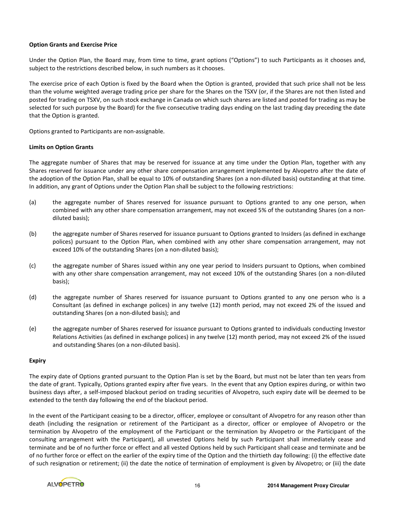# Option Grants and Exercise Price

Under the Option Plan, the Board may, from time to time, grant options ("Options") to such Participants as it chooses and, subject to the restrictions described below, in such numbers as it chooses.

The exercise price of each Option is fixed by the Board when the Option is granted, provided that such price shall not be less than the volume weighted average trading price per share for the Shares on the TSXV (or, if the Shares are not then listed and posted for trading on TSXV, on such stock exchange in Canada on which such shares are listed and posted for trading as may be selected for such purpose by the Board) for the five consecutive trading days ending on the last trading day preceding the date that the Option is granted.

Options granted to Participants are non-assignable.

# Limits on Option Grants

The aggregate number of Shares that may be reserved for issuance at any time under the Option Plan, together with any Shares reserved for issuance under any other share compensation arrangement implemented by Alvopetro after the date of the adoption of the Option Plan, shall be equal to 10% of outstanding Shares (on a non-diluted basis) outstanding at that time. In addition, any grant of Options under the Option Plan shall be subject to the following restrictions:

- (a) the aggregate number of Shares reserved for issuance pursuant to Options granted to any one person, when combined with any other share compensation arrangement, may not exceed 5% of the outstanding Shares (on a nondiluted basis);
- (b) the aggregate number of Shares reserved for issuance pursuant to Options granted to Insiders (as defined in exchange polices) pursuant to the Option Plan, when combined with any other share compensation arrangement, may not exceed 10% of the outstanding Shares (on a non-diluted basis);
- (c) the aggregate number of Shares issued within any one year period to Insiders pursuant to Options, when combined with any other share compensation arrangement, may not exceed 10% of the outstanding Shares (on a non-diluted basis);
- (d) the aggregate number of Shares reserved for issuance pursuant to Options granted to any one person who is a Consultant (as defined in exchange polices) in any twelve (12) month period, may not exceed 2% of the issued and outstanding Shares (on a non-diluted basis); and
- (e) the aggregate number of Shares reserved for issuance pursuant to Options granted to individuals conducting Investor Relations Activities (as defined in exchange polices) in any twelve (12) month period, may not exceed 2% of the issued and outstanding Shares (on a non-diluted basis).

#### Expiry

The expiry date of Options granted pursuant to the Option Plan is set by the Board, but must not be later than ten years from the date of grant. Typically, Options granted expiry after five years. In the event that any Option expires during, or within two business days after, a self-imposed blackout period on trading securities of Alvopetro, such expiry date will be deemed to be extended to the tenth day following the end of the blackout period.

In the event of the Participant ceasing to be a director, officer, employee or consultant of Alvopetro for any reason other than death (including the resignation or retirement of the Participant as a director, officer or employee of Alvopetro or the termination by Alvopetro of the employment of the Participant or the termination by Alvopetro or the Participant of the consulting arrangement with the Participant), all unvested Options held by such Participant shall immediately cease and terminate and be of no further force or effect and all vested Options held by such Participant shall cease and terminate and be of no further force or effect on the earlier of the expiry time of the Option and the thirtieth day following: (i) the effective date of such resignation or retirement; (ii) the date the notice of termination of employment is given by Alvopetro; or (iii) the date

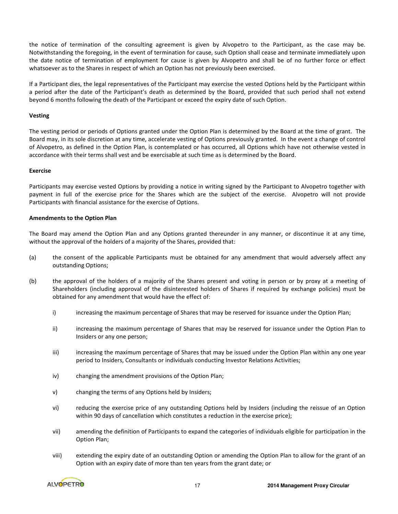the notice of termination of the consulting agreement is given by Alvopetro to the Participant, as the case may be. Notwithstanding the foregoing, in the event of termination for cause, such Option shall cease and terminate immediately upon the date notice of termination of employment for cause is given by Alvopetro and shall be of no further force or effect whatsoever as to the Shares in respect of which an Option has not previously been exercised.

If a Participant dies, the legal representatives of the Participant may exercise the vested Options held by the Participant within a period after the date of the Participant's death as determined by the Board, provided that such period shall not extend beyond 6 months following the death of the Participant or exceed the expiry date of such Option.

# Vesting

The vesting period or periods of Options granted under the Option Plan is determined by the Board at the time of grant. The Board may, in its sole discretion at any time, accelerate vesting of Options previously granted. In the event a change of control of Alvopetro, as defined in the Option Plan, is contemplated or has occurred, all Options which have not otherwise vested in accordance with their terms shall vest and be exercisable at such time as is determined by the Board.

# Exercise

Participants may exercise vested Options by providing a notice in writing signed by the Participant to Alvopetro together with payment in full of the exercise price for the Shares which are the subject of the exercise. Alvopetro will not provide Participants with financial assistance for the exercise of Options.

# Amendments to the Option Plan

The Board may amend the Option Plan and any Options granted thereunder in any manner, or discontinue it at any time, without the approval of the holders of a majority of the Shares, provided that:

- (a) the consent of the applicable Participants must be obtained for any amendment that would adversely affect any outstanding Options;
- (b) the approval of the holders of a majority of the Shares present and voting in person or by proxy at a meeting of Shareholders (including approval of the disinterested holders of Shares if required by exchange policies) must be obtained for any amendment that would have the effect of:
	- i) increasing the maximum percentage of Shares that may be reserved for issuance under the Option Plan;
	- ii) increasing the maximum percentage of Shares that may be reserved for issuance under the Option Plan to Insiders or any one person;
	- iii) increasing the maximum percentage of Shares that may be issued under the Option Plan within any one year period to Insiders, Consultants or individuals conducting Investor Relations Activities;
	- iv) changing the amendment provisions of the Option Plan;
	- v) changing the terms of any Options held by Insiders;
	- vi) reducing the exercise price of any outstanding Options held by Insiders (including the reissue of an Option within 90 days of cancellation which constitutes a reduction in the exercise price);
	- vii) amending the definition of Participants to expand the categories of individuals eligible for participation in the Option Plan;
	- viii) extending the expiry date of an outstanding Option or amending the Option Plan to allow for the grant of an Option with an expiry date of more than ten years from the grant date; or

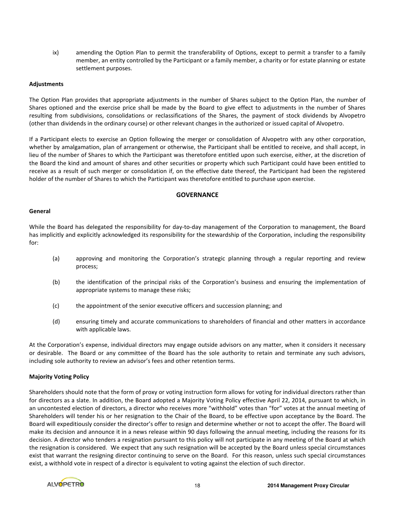ix) amending the Option Plan to permit the transferability of Options, except to permit a transfer to a family member, an entity controlled by the Participant or a family member, a charity or for estate planning or estate settlement purposes.

# Adjustments

The Option Plan provides that appropriate adjustments in the number of Shares subject to the Option Plan, the number of Shares optioned and the exercise price shall be made by the Board to give effect to adjustments in the number of Shares resulting from subdivisions, consolidations or reclassifications of the Shares, the payment of stock dividends by Alvopetro (other than dividends in the ordinary course) or other relevant changes in the authorized or issued capital of Alvopetro.

If a Participant elects to exercise an Option following the merger or consolidation of Alvopetro with any other corporation, whether by amalgamation, plan of arrangement or otherwise, the Participant shall be entitled to receive, and shall accept, in lieu of the number of Shares to which the Participant was theretofore entitled upon such exercise, either, at the discretion of the Board the kind and amount of shares and other securities or property which such Participant could have been entitled to receive as a result of such merger or consolidation if, on the effective date thereof, the Participant had been the registered holder of the number of Shares to which the Participant was theretofore entitled to purchase upon exercise.

#### **GOVERNANCE**

# **General**

While the Board has delegated the responsibility for day-to-day management of the Corporation to management, the Board has implicitly and explicitly acknowledged its responsibility for the stewardship of the Corporation, including the responsibility for:

- (a) approving and monitoring the Corporation's strategic planning through a regular reporting and review process;
- (b) the identification of the principal risks of the Corporation's business and ensuring the implementation of appropriate systems to manage these risks;
- (c) the appointment of the senior executive officers and succession planning; and
- (d) ensuring timely and accurate communications to shareholders of financial and other matters in accordance with applicable laws.

At the Corporation's expense, individual directors may engage outside advisors on any matter, when it considers it necessary or desirable. The Board or any committee of the Board has the sole authority to retain and terminate any such advisors, including sole authority to review an advisor's fees and other retention terms.

# Majority Voting Policy

Shareholders should note that the form of proxy or voting instruction form allows for voting for individual directors rather than for directors as a slate. In addition, the Board adopted a Majority Voting Policy effective April 22, 2014, pursuant to which, in an uncontested election of directors, a director who receives more "withhold" votes than "for" votes at the annual meeting of Shareholders will tender his or her resignation to the Chair of the Board, to be effective upon acceptance by the Board. The Board will expeditiously consider the director's offer to resign and determine whether or not to accept the offer. The Board will make its decision and announce it in a news release within 90 days following the annual meeting, including the reasons for its decision. A director who tenders a resignation pursuant to this policy will not participate in any meeting of the Board at which the resignation is considered. We expect that any such resignation will be accepted by the Board unless special circumstances exist that warrant the resigning director continuing to serve on the Board. For this reason, unless such special circumstances exist, a withhold vote in respect of a director is equivalent to voting against the election of such director.

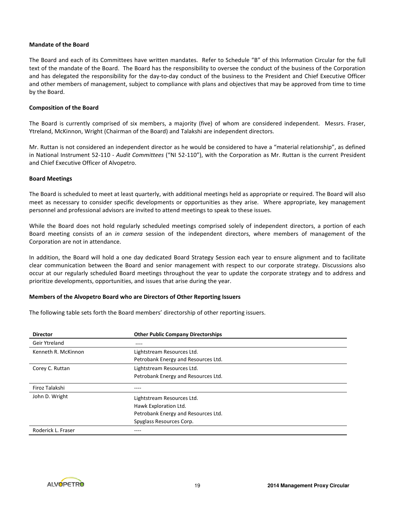# Mandate of the Board

The Board and each of its Committees have written mandates. Refer to Schedule "B" of this Information Circular for the full text of the mandate of the Board. The Board has the responsibility to oversee the conduct of the business of the Corporation and has delegated the responsibility for the day-to-day conduct of the business to the President and Chief Executive Officer and other members of management, subject to compliance with plans and objectives that may be approved from time to time by the Board.

#### Composition of the Board

The Board is currently comprised of six members, a majority (five) of whom are considered independent. Messrs. Fraser, Ytreland, McKinnon, Wright (Chairman of the Board) and Talakshi are independent directors.

Mr. Ruttan is not considered an independent director as he would be considered to have a "material relationship", as defined in National Instrument 52-110 - Audit Committees ("NI 52-110"), with the Corporation as Mr. Ruttan is the current President and Chief Executive Officer of Alvopetro.

#### Board Meetings

The Board is scheduled to meet at least quarterly, with additional meetings held as appropriate or required. The Board will also meet as necessary to consider specific developments or opportunities as they arise. Where appropriate, key management personnel and professional advisors are invited to attend meetings to speak to these issues.

While the Board does not hold regularly scheduled meetings comprised solely of independent directors, a portion of each Board meeting consists of an in camera session of the independent directors, where members of management of the Corporation are not in attendance.

In addition, the Board will hold a one day dedicated Board Strategy Session each year to ensure alignment and to facilitate clear communication between the Board and senior management with respect to our corporate strategy. Discussions also occur at our regularly scheduled Board meetings throughout the year to update the corporate strategy and to address and prioritize developments, opportunities, and issues that arise during the year.

# Members of the Alvopetro Board who are Directors of Other Reporting Issuers

The following table sets forth the Board members' directorship of other reporting issuers.

| <b>Director</b>     | <b>Other Public Company Directorships</b> |
|---------------------|-------------------------------------------|
| Geir Ytreland       | $- - - -$                                 |
| Kenneth R. McKinnon | Lightstream Resources Ltd.                |
|                     | Petrobank Energy and Resources Ltd.       |
| Corey C. Ruttan     | Lightstream Resources Ltd.                |
|                     | Petrobank Energy and Resources Ltd.       |
| Firoz Talakshi      |                                           |
| John D. Wright      | Lightstream Resources Ltd.                |
|                     | Hawk Exploration Ltd.                     |
|                     | Petrobank Energy and Resources Ltd.       |
|                     | Spyglass Resources Corp.                  |
| Roderick L. Fraser  |                                           |

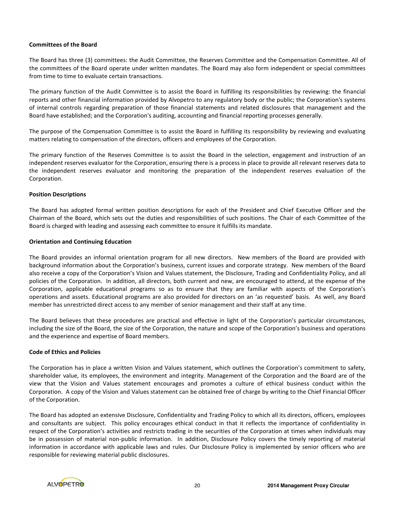# Committees of the Board

The Board has three (3) committees: the Audit Committee, the Reserves Committee and the Compensation Committee. All of the committees of the Board operate under written mandates. The Board may also form independent or special committees from time to time to evaluate certain transactions.

The primary function of the Audit Committee is to assist the Board in fulfilling its responsibilities by reviewing: the financial reports and other financial information provided by Alvopetro to any regulatory body or the public; the Corporation's systems of internal controls regarding preparation of those financial statements and related disclosures that management and the Board have established; and the Corporation's auditing, accounting and financial reporting processes generally.

The purpose of the Compensation Committee is to assist the Board in fulfilling its responsibility by reviewing and evaluating matters relating to compensation of the directors, officers and employees of the Corporation.

The primary function of the Reserves Committee is to assist the Board in the selection, engagement and instruction of an independent reserves evaluator for the Corporation, ensuring there is a process in place to provide all relevant reserves data to the independent reserves evaluator and monitoring the preparation of the independent reserves evaluation of the Corporation.

# Position Descriptions

The Board has adopted formal written position descriptions for each of the President and Chief Executive Officer and the Chairman of the Board, which sets out the duties and responsibilities of such positions. The Chair of each Committee of the Board is charged with leading and assessing each committee to ensure it fulfills its mandate.

#### Orientation and Continuing Education

The Board provides an informal orientation program for all new directors. New members of the Board are provided with background information about the Corporation's business, current issues and corporate strategy. New members of the Board also receive a copy of the Corporation's Vision and Values statement, the Disclosure, Trading and Confidentiality Policy, and all policies of the Corporation. In addition, all directors, both current and new, are encouraged to attend, at the expense of the Corporation, applicable educational programs so as to ensure that they are familiar with aspects of the Corporation's operations and assets. Educational programs are also provided for directors on an 'as requested' basis. As well, any Board member has unrestricted direct access to any member of senior management and their staff at any time.

The Board believes that these procedures are practical and effective in light of the Corporation's particular circumstances, including the size of the Board, the size of the Corporation, the nature and scope of the Corporation's business and operations and the experience and expertise of Board members.

# Code of Ethics and Policies

The Corporation has in place a written Vision and Values statement, which outlines the Corporation's commitment to safety, shareholder value, its employees, the environment and integrity. Management of the Corporation and the Board are of the view that the Vision and Values statement encourages and promotes a culture of ethical business conduct within the Corporation. A copy of the Vision and Values statement can be obtained free of charge by writing to the Chief Financial Officer of the Corporation.

The Board has adopted an extensive Disclosure, Confidentiality and Trading Policy to which all its directors, officers, employees and consultants are subject. This policy encourages ethical conduct in that it reflects the importance of confidentiality in respect of the Corporation's activities and restricts trading in the securities of the Corporation at times when individuals may be in possession of material non-public information. In addition, Disclosure Policy covers the timely reporting of material information in accordance with applicable laws and rules. Our Disclosure Policy is implemented by senior officers who are responsible for reviewing material public disclosures.

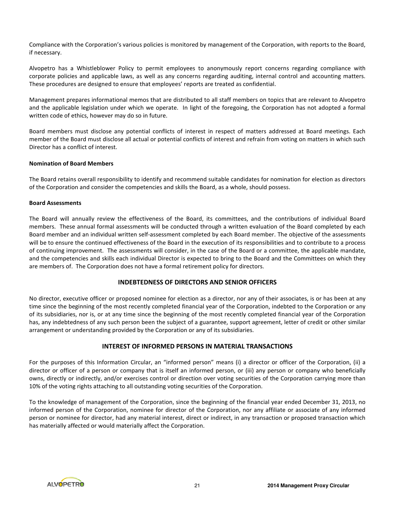Compliance with the Corporation's various policies is monitored by management of the Corporation, with reports to the Board, if necessary.

Alvopetro has a Whistleblower Policy to permit employees to anonymously report concerns regarding compliance with corporate policies and applicable laws, as well as any concerns regarding auditing, internal control and accounting matters. These procedures are designed to ensure that employees' reports are treated as confidential.

Management prepares informational memos that are distributed to all staff members on topics that are relevant to Alvopetro and the applicable legislation under which we operate. In light of the foregoing, the Corporation has not adopted a formal written code of ethics, however may do so in future.

Board members must disclose any potential conflicts of interest in respect of matters addressed at Board meetings. Each member of the Board must disclose all actual or potential conflicts of interest and refrain from voting on matters in which such Director has a conflict of interest.

# Nomination of Board Members

The Board retains overall responsibility to identify and recommend suitable candidates for nomination for election as directors of the Corporation and consider the competencies and skills the Board, as a whole, should possess.

# Board Assessments

The Board will annually review the effectiveness of the Board, its committees, and the contributions of individual Board members. These annual formal assessments will be conducted through a written evaluation of the Board completed by each Board member and an individual written self-assessment completed by each Board member. The objective of the assessments will be to ensure the continued effectiveness of the Board in the execution of its responsibilities and to contribute to a process of continuing improvement. The assessments will consider, in the case of the Board or a committee, the applicable mandate, and the competencies and skills each individual Director is expected to bring to the Board and the Committees on which they are members of. The Corporation does not have a formal retirement policy for directors.

# INDEBTEDNESS OF DIRECTORS AND SENIOR OFFICERS

No director, executive officer or proposed nominee for election as a director, nor any of their associates, is or has been at any time since the beginning of the most recently completed financial year of the Corporation, indebted to the Corporation or any of its subsidiaries, nor is, or at any time since the beginning of the most recently completed financial year of the Corporation has, any indebtedness of any such person been the subject of a guarantee, support agreement, letter of credit or other similar arrangement or understanding provided by the Corporation or any of its subsidiaries.

# INTEREST OF INFORMED PERSONS IN MATERIAL TRANSACTIONS

For the purposes of this Information Circular, an "informed person" means (i) a director or officer of the Corporation, (ii) a director or officer of a person or company that is itself an informed person, or (iii) any person or company who beneficially owns, directly or indirectly, and/or exercises control or direction over voting securities of the Corporation carrying more than 10% of the voting rights attaching to all outstanding voting securities of the Corporation.

To the knowledge of management of the Corporation, since the beginning of the financial year ended December 31, 2013, no informed person of the Corporation, nominee for director of the Corporation, nor any affiliate or associate of any informed person or nominee for director, had any material interest, direct or indirect, in any transaction or proposed transaction which has materially affected or would materially affect the Corporation.

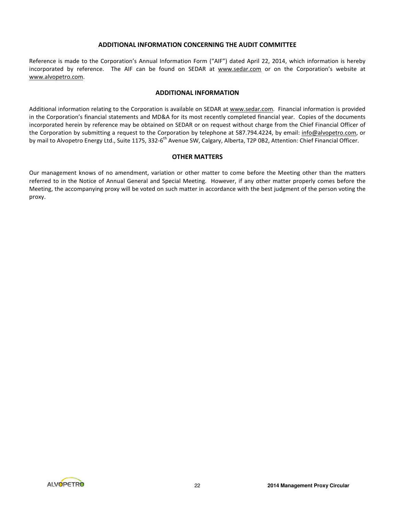# ADDITIONAL INFORMATION CONCERNING THE AUDIT COMMITTEE

Reference is made to the Corporation's Annual Information Form ("AIF") dated April 22, 2014, which information is hereby incorporated by reference. The AIF can be found on SEDAR at www.sedar.com or on the Corporation's website at www.alvopetro.com.

#### ADDITIONAL INFORMATION

Additional information relating to the Corporation is available on SEDAR at www.sedar.com. Financial information is provided in the Corporation's financial statements and MD&A for its most recently completed financial year. Copies of the documents incorporated herein by reference may be obtained on SEDAR or on request without charge from the Chief Financial Officer of the Corporation by submitting a request to the Corporation by telephone at 587.794.4224, by email: info@alvopetro.com, or by mail to Alvopetro Energy Ltd., Suite 1175, 332-6<sup>th</sup> Avenue SW, Calgary, Alberta, T2P 0B2, Attention: Chief Financial Officer.

# OTHER MATTERS

Our management knows of no amendment, variation or other matter to come before the Meeting other than the matters referred to in the Notice of Annual General and Special Meeting. However, if any other matter properly comes before the Meeting, the accompanying proxy will be voted on such matter in accordance with the best judgment of the person voting the proxy.

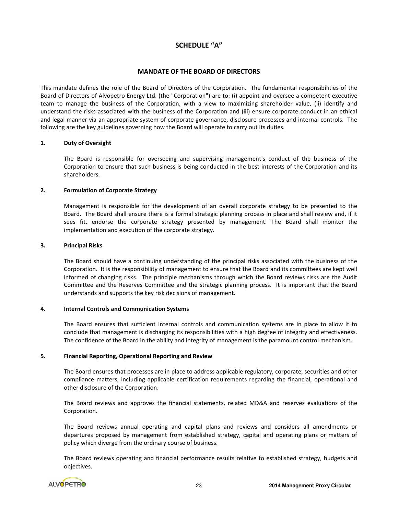# SCHEDULE "A"

# MANDATE OF THE BOARD OF DIRECTORS

This mandate defines the role of the Board of Directors of the Corporation. The fundamental responsibilities of the Board of Directors of Alvopetro Energy Ltd. (the "Corporation") are to: (i) appoint and oversee a competent executive team to manage the business of the Corporation, with a view to maximizing shareholder value, (ii) identify and understand the risks associated with the business of the Corporation and (iii) ensure corporate conduct in an ethical and legal manner via an appropriate system of corporate governance, disclosure processes and internal controls. The following are the key guidelines governing how the Board will operate to carry out its duties.

# 1. Duty of Oversight

The Board is responsible for overseeing and supervising management's conduct of the business of the Corporation to ensure that such business is being conducted in the best interests of the Corporation and its shareholders.

# 2. Formulation of Corporate Strategy

Management is responsible for the development of an overall corporate strategy to be presented to the Board. The Board shall ensure there is a formal strategic planning process in place and shall review and, if it sees fit, endorse the corporate strategy presented by management. The Board shall monitor the implementation and execution of the corporate strategy.

#### 3. Principal Risks

The Board should have a continuing understanding of the principal risks associated with the business of the Corporation. It is the responsibility of management to ensure that the Board and its committees are kept well informed of changing risks. The principle mechanisms through which the Board reviews risks are the Audit Committee and the Reserves Committee and the strategic planning process. It is important that the Board understands and supports the key risk decisions of management.

#### 4. Internal Controls and Communication Systems

The Board ensures that sufficient internal controls and communication systems are in place to allow it to conclude that management is discharging its responsibilities with a high degree of integrity and effectiveness. The confidence of the Board in the ability and integrity of management is the paramount control mechanism.

#### 5. Financial Reporting, Operational Reporting and Review

The Board ensures that processes are in place to address applicable regulatory, corporate, securities and other compliance matters, including applicable certification requirements regarding the financial, operational and other disclosure of the Corporation.

The Board reviews and approves the financial statements, related MD&A and reserves evaluations of the Corporation.

The Board reviews annual operating and capital plans and reviews and considers all amendments or departures proposed by management from established strategy, capital and operating plans or matters of policy which diverge from the ordinary course of business.

The Board reviews operating and financial performance results relative to established strategy, budgets and objectives.

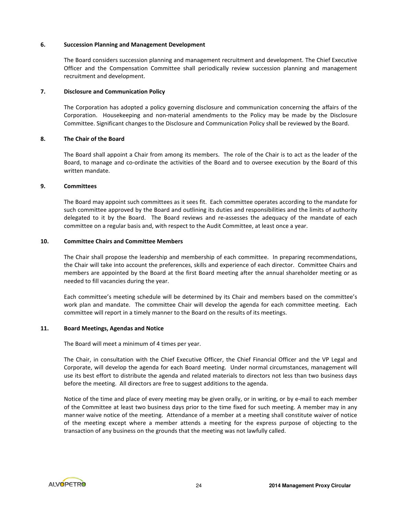#### 6. Succession Planning and Management Development

The Board considers succession planning and management recruitment and development. The Chief Executive Officer and the Compensation Committee shall periodically review succession planning and management recruitment and development.

# 7. Disclosure and Communication Policy

The Corporation has adopted a policy governing disclosure and communication concerning the affairs of the Corporation. Housekeeping and non-material amendments to the Policy may be made by the Disclosure Committee. Significant changes to the Disclosure and Communication Policy shall be reviewed by the Board.

# 8. The Chair of the Board

The Board shall appoint a Chair from among its members. The role of the Chair is to act as the leader of the Board, to manage and co-ordinate the activities of the Board and to oversee execution by the Board of this written mandate.

# 9. Committees

The Board may appoint such committees as it sees fit. Each committee operates according to the mandate for such committee approved by the Board and outlining its duties and responsibilities and the limits of authority delegated to it by the Board. The Board reviews and re-assesses the adequacy of the mandate of each committee on a regular basis and, with respect to the Audit Committee, at least once a year.

# 10. Committee Chairs and Committee Members

The Chair shall propose the leadership and membership of each committee. In preparing recommendations, the Chair will take into account the preferences, skills and experience of each director. Committee Chairs and members are appointed by the Board at the first Board meeting after the annual shareholder meeting or as needed to fill vacancies during the year.

Each committee's meeting schedule will be determined by its Chair and members based on the committee's work plan and mandate. The committee Chair will develop the agenda for each committee meeting. Each committee will report in a timely manner to the Board on the results of its meetings.

#### 11. Board Meetings, Agendas and Notice

The Board will meet a minimum of 4 times per year.

The Chair, in consultation with the Chief Executive Officer, the Chief Financial Officer and the VP Legal and Corporate, will develop the agenda for each Board meeting. Under normal circumstances, management will use its best effort to distribute the agenda and related materials to directors not less than two business days before the meeting. All directors are free to suggest additions to the agenda.

Notice of the time and place of every meeting may be given orally, or in writing, or by e-mail to each member of the Committee at least two business days prior to the time fixed for such meeting. A member may in any manner waive notice of the meeting. Attendance of a member at a meeting shall constitute waiver of notice of the meeting except where a member attends a meeting for the express purpose of objecting to the transaction of any business on the grounds that the meeting was not lawfully called.

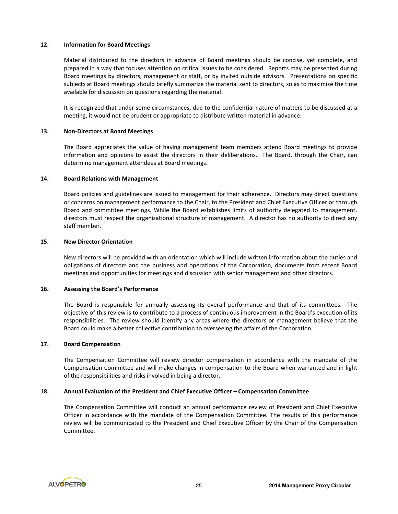# 12. Information for Board Meetings

Material distributed to the directors in advance of Board meetings should be concise, yet complete, and prepared in a way that focuses attention on critical issues to be considered. Reports may be presented during Board meetings by directors, management or staff, or by invited outside advisors. Presentations on specific subjects at Board meetings should briefly summarize the material sent to directors, so as to maximize the time available for discussion on questions regarding the material.

It is recognized that under some circumstances, due to the confidential nature of matters to be discussed at a meeting, it would not be prudent or appropriate to distribute written material in advance.

#### 13. Non-Directors at Board Meetings

The Board appreciates the value of having management team members attend Board meetings to provide information and opinions to assist the directors in their deliberations. The Board, through the Chair, can determine management attendees at Board meetings.

# 14. Board Relations with Management

Board policies and guidelines are issued to management for their adherence. Directors may direct questions or concerns on management performance to the Chair, to the President and Chief Executive Officer or through Board and committee meetings. While the Board establishes limits of authority delegated to management, directors must respect the organizational structure of management. A director has no authority to direct any staff member.

#### 15. New Director Orientation

New directors will be provided with an orientation which will include written information about the duties and obligations of directors and the business and operations of the Corporation, documents from recent Board meetings and opportunities for meetings and discussion with senior management and other directors.

#### 16. Assessing the Board's Performance

The Board is responsible for annually assessing its overall performance and that of its committees. The objective of this review is to contribute to a process of continuous improvement in the Board's execution of its responsibilities. The review should identify any areas where the directors or management believe that the Board could make a better collective contribution to overseeing the affairs of the Corporation.

#### 17. Board Compensation

The Compensation Committee will review director compensation in accordance with the mandate of the Compensation Committee and will make changes in compensation to the Board when warranted and in light of the responsibilities and risks involved in being a director.

#### 18. Annual Evaluation of the President and Chief Executive Officer – Compensation Committee

The Compensation Committee will conduct an annual performance review of President and Chief Executive Officer in accordance with the mandate of the Compensation Committee. The results of this performance review will be communicated to the President and Chief Executive Officer by the Chair of the Compensation Committee.

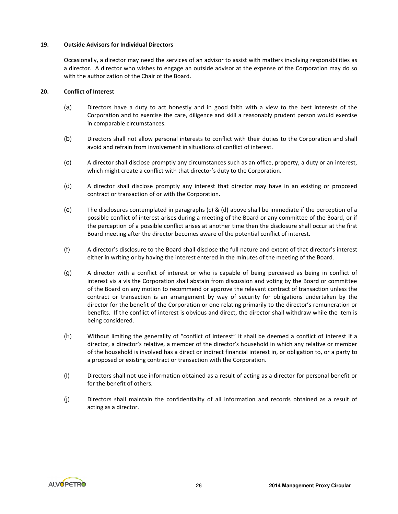# 19. Outside Advisors for Individual Directors

Occasionally, a director may need the services of an advisor to assist with matters involving responsibilities as a director. A director who wishes to engage an outside advisor at the expense of the Corporation may do so with the authorization of the Chair of the Board.

# 20. Conflict of Interest

- (a) Directors have a duty to act honestly and in good faith with a view to the best interests of the Corporation and to exercise the care, diligence and skill a reasonably prudent person would exercise in comparable circumstances.
- (b) Directors shall not allow personal interests to conflict with their duties to the Corporation and shall avoid and refrain from involvement in situations of conflict of interest.
- (c) A director shall disclose promptly any circumstances such as an office, property, a duty or an interest, which might create a conflict with that director's duty to the Corporation.
- (d) A director shall disclose promptly any interest that director may have in an existing or proposed contract or transaction of or with the Corporation.
- (e) The disclosures contemplated in paragraphs (c) & (d) above shall be immediate if the perception of a possible conflict of interest arises during a meeting of the Board or any committee of the Board, or if the perception of a possible conflict arises at another time then the disclosure shall occur at the first Board meeting after the director becomes aware of the potential conflict of interest.
- (f) A director's disclosure to the Board shall disclose the full nature and extent of that director's interest either in writing or by having the interest entered in the minutes of the meeting of the Board.
- (g) A director with a conflict of interest or who is capable of being perceived as being in conflict of interest vis a vis the Corporation shall abstain from discussion and voting by the Board or committee of the Board on any motion to recommend or approve the relevant contract of transaction unless the contract or transaction is an arrangement by way of security for obligations undertaken by the director for the benefit of the Corporation or one relating primarily to the director's remuneration or benefits. If the conflict of interest is obvious and direct, the director shall withdraw while the item is being considered.
- (h) Without limiting the generality of "conflict of interest" it shall be deemed a conflict of interest if a director, a director's relative, a member of the director's household in which any relative or member of the household is involved has a direct or indirect financial interest in, or obligation to, or a party to a proposed or existing contract or transaction with the Corporation.
- (i) Directors shall not use information obtained as a result of acting as a director for personal benefit or for the benefit of others.
- (j) Directors shall maintain the confidentiality of all information and records obtained as a result of acting as a director.